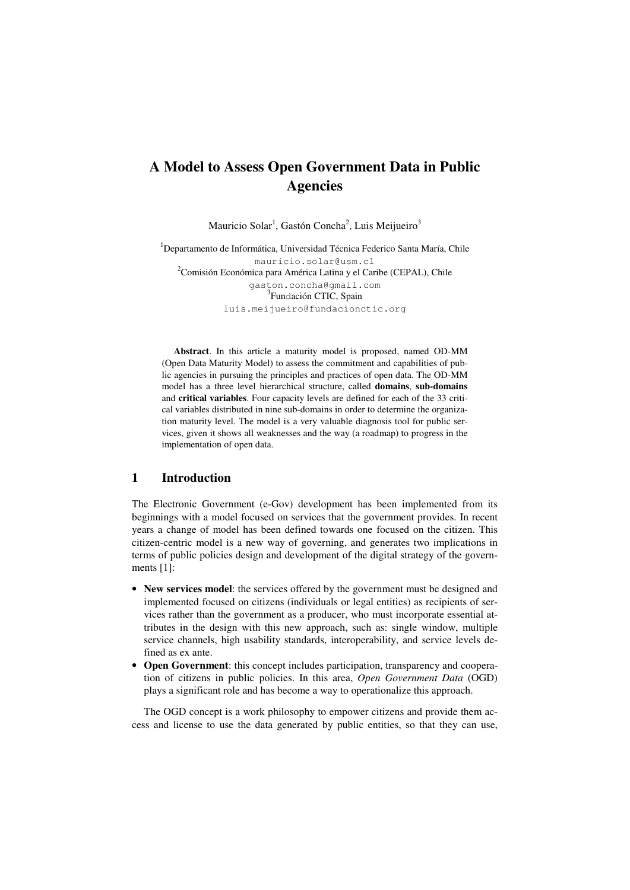# **A Model to Assess Open Government Data in Public Agencies**

Mauricio Solar<sup>1</sup>, Gastón Concha<sup>2</sup>, Luis Meijueiro<sup>3</sup>

<sup>1</sup>Departamento de Informática, Universidad Técnica Federico Santa María, Chile mauricio.solar@usm.cl <sup>2</sup> Comisión Económica para América Latina y el Caribe (CEPAL), Chile gaston.concha@gmail.com <sup>3</sup>Fundación CTIC, Spain luis.meijueiro@fundacionctic.org

**Abstract**. In this article a maturity model is proposed, named OD-MM (Open Data Maturity Model) to assess the commitment and capabilities of public agencies in pursuing the principles and practices of open data. The OD-MM model has a three level hierarchical structure, called **domains**, **sub-domains** and **critical variables**. Four capacity levels are defined for each of the 33 critical variables distributed in nine sub-domains in order to determine the organization maturity level. The model is a very valuable diagnosis tool for public services, given it shows all weaknesses and the way (a roadmap) to progress in the implementation of open data.

## **1 Introduction**

The Electronic Government (e-Gov) development has been implemented from its beginnings with a model focused on services that the government provides. In recent years a change of model has been defined towards one focused on the citizen. This citizen-centric model is a new way of governing, and generates two implications in terms of public policies design and development of the digital strategy of the governments [1]:

- **New services model**: the services offered by the government must be designed and implemented focused on citizens (individuals or legal entities) as recipients of services rather than the government as a producer, who must incorporate essential attributes in the design with this new approach, such as: single window, multiple service channels, high usability standards, interoperability, and service levels defined as ex ante.
- **Open Government**: this concept includes participation, transparency and cooperation of citizens in public policies. In this area, *Open Government Data* (OGD) plays a significant role and has become a way to operationalize this approach.

The OGD concept is a work philosophy to empower citizens and provide them access and license to use the data generated by public entities, so that they can use,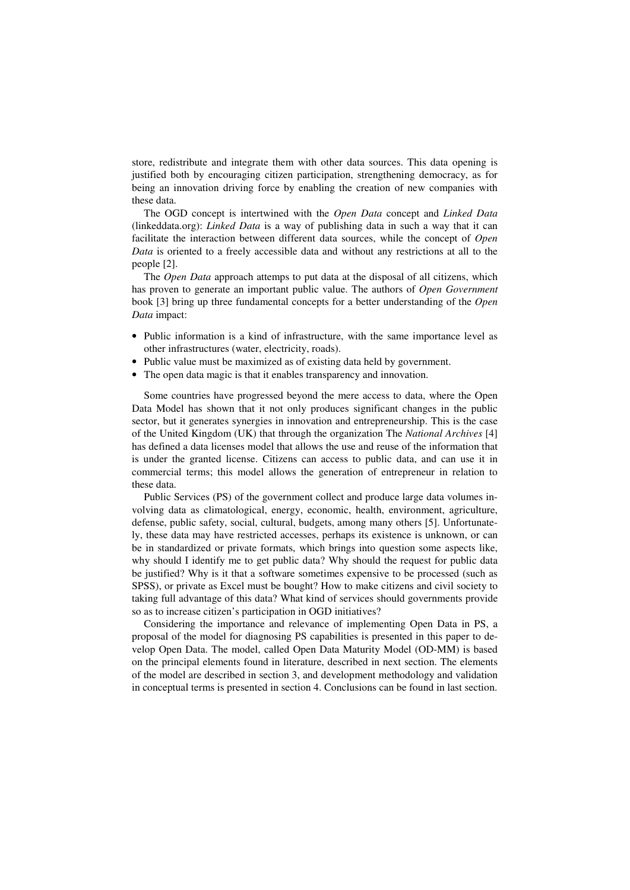store, redistribute and integrate them with other data sources. This data opening is justified both by encouraging citizen participation, strengthening democracy, as for being an innovation driving force by enabling the creation of new companies with these data.

The OGD concept is intertwined with the *Open Data* concept and *Linked Data* (linkeddata.org): *Linked Data* is a way of publishing data in such a way that it can facilitate the interaction between different data sources, while the concept of *Open Data* is oriented to a freely accessible data and without any restrictions at all to the people [2].

The *Open Data* approach attemps to put data at the disposal of all citizens, which has proven to generate an important public value. The authors of *Open Government* book [3] bring up three fundamental concepts for a better understanding of the *Open Data* impact:

- Public information is a kind of infrastructure, with the same importance level as other infrastructures (water, electricity, roads).
- Public value must be maximized as of existing data held by government.
- The open data magic is that it enables transparency and innovation.

Some countries have progressed beyond the mere access to data, where the Open Data Model has shown that it not only produces significant changes in the public sector, but it generates synergies in innovation and entrepreneurship. This is the case of the United Kingdom (UK) that through the organization The *National Archives* [4] has defined a data licenses model that allows the use and reuse of the information that is under the granted license. Citizens can access to public data, and can use it in commercial terms; this model allows the generation of entrepreneur in relation to these data.

Public Services (PS) of the government collect and produce large data volumes involving data as climatological, energy, economic, health, environment, agriculture, defense, public safety, social, cultural, budgets, among many others [5]. Unfortunately, these data may have restricted accesses, perhaps its existence is unknown, or can be in standardized or private formats, which brings into question some aspects like, why should I identify me to get public data? Why should the request for public data be justified? Why is it that a software sometimes expensive to be processed (such as SPSS), or private as Excel must be bought? How to make citizens and civil society to taking full advantage of this data? What kind of services should governments provide so as to increase citizen's participation in OGD initiatives?

Considering the importance and relevance of implementing Open Data in PS, a proposal of the model for diagnosing PS capabilities is presented in this paper to develop Open Data. The model, called Open Data Maturity Model (OD-MM) is based on the principal elements found in literature, described in next section. The elements of the model are described in section 3, and development methodology and validation in conceptual terms is presented in section 4. Conclusions can be found in last section.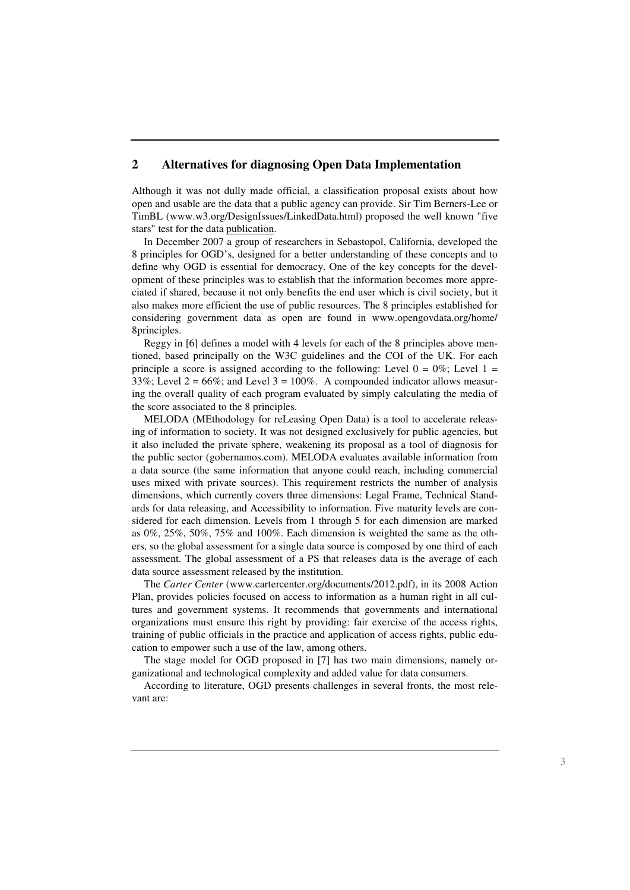# **2 Alternatives for diagnosing Open Data Implementation**

Although it was not dully made official, a classification proposal exists about how open and usable are the data that a public agency can provide. Sir Tim Berners-Lee or TimBL (www.w3.org/DesignIssues/LinkedData.html) proposed the well known "five stars" test for the data publication.

In December 2007 a group of researchers in Sebastopol, California, developed the 8 principles for OGD's, designed for a better understanding of these concepts and to define why OGD is essential for democracy. One of the key concepts for the development of these principles was to establish that the information becomes more appreciated if shared, because it not only benefits the end user which is civil society, but it also makes more efficient the use of public resources. The 8 principles established for considering government data as open are found in www.opengovdata.org/home/ 8principles.

Reggy in [6] defines a model with 4 levels for each of the 8 principles above mentioned, based principally on the W3C guidelines and the COI of the UK. For each principle a score is assigned according to the following: Level  $0 = 0\%$ ; Level  $1 =$ 33%; Level  $2 = 66\%$ ; and Level  $3 = 100\%$ . A compounded indicator allows measuring the overall quality of each program evaluated by simply calculating the media of the score associated to the 8 principles.

MELODA (MEthodology for reLeasing Open Data) is a tool to accelerate releasing of information to society. It was not designed exclusively for public agencies, but it also included the private sphere, weakening its proposal as a tool of diagnosis for the public sector (gobernamos.com). MELODA evaluates available information from a data source (the same information that anyone could reach, including commercial uses mixed with private sources). This requirement restricts the number of analysis dimensions, which currently covers three dimensions: Legal Frame, Technical Standards for data releasing, and Accessibility to information. Five maturity levels are considered for each dimension. Levels from 1 through 5 for each dimension are marked as 0%, 25%, 50%, 75% and 100%. Each dimension is weighted the same as the others, so the global assessment for a single data source is composed by one third of each assessment. The global assessment of a PS that releases data is the average of each data source assessment released by the institution.

The *Carter Center* (www.cartercenter.org/documents/2012.pdf), in its 2008 Action Plan, provides policies focused on access to information as a human right in all cultures and government systems. It recommends that governments and international organizations must ensure this right by providing: fair exercise of the access rights, training of public officials in the practice and application of access rights, public education to empower such a use of the law, among others.

The stage model for OGD proposed in [7] has two main dimensions, namely organizational and technological complexity and added value for data consumers.

According to literature, OGD presents challenges in several fronts, the most relevant are: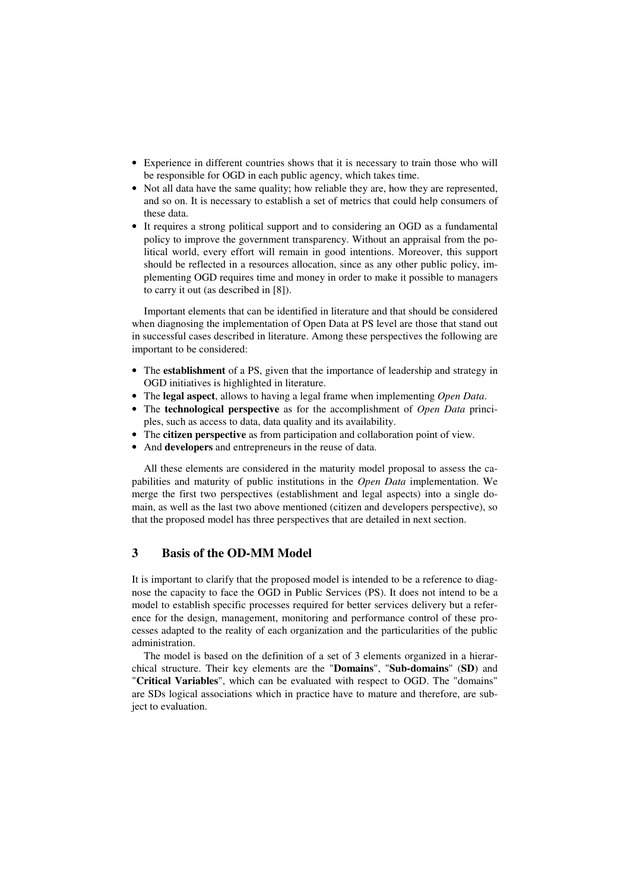- Experience in different countries shows that it is necessary to train those who will be responsible for OGD in each public agency, which takes time.
- Not all data have the same quality; how reliable they are, how they are represented, and so on. It is necessary to establish a set of metrics that could help consumers of these data.
- It requires a strong political support and to considering an OGD as a fundamental policy to improve the government transparency. Without an appraisal from the political world, every effort will remain in good intentions. Moreover, this support should be reflected in a resources allocation, since as any other public policy, implementing OGD requires time and money in order to make it possible to managers to carry it out (as described in [8]).

Important elements that can be identified in literature and that should be considered when diagnosing the implementation of Open Data at PS level are those that stand out in successful cases described in literature. Among these perspectives the following are important to be considered:

- The **establishment** of a PS, given that the importance of leadership and strategy in OGD initiatives is highlighted in literature.
- The **legal aspect**, allows to having a legal frame when implementing *Open Data*.
- The **technological perspective** as for the accomplishment of *Open Data* principles, such as access to data, data quality and its availability.
- The **citizen perspective** as from participation and collaboration point of view.
- And **developers** and entrepreneurs in the reuse of data.

All these elements are considered in the maturity model proposal to assess the capabilities and maturity of public institutions in the *Open Data* implementation. We merge the first two perspectives (establishment and legal aspects) into a single domain, as well as the last two above mentioned (citizen and developers perspective), so that the proposed model has three perspectives that are detailed in next section.

# **3 Basis of the OD-MM Model**

It is important to clarify that the proposed model is intended to be a reference to diagnose the capacity to face the OGD in Public Services (PS). It does not intend to be a model to establish specific processes required for better services delivery but a reference for the design, management, monitoring and performance control of these processes adapted to the reality of each organization and the particularities of the public administration.

The model is based on the definition of a set of 3 elements organized in a hierarchical structure. Their key elements are the "**Domains**", "**Sub-domains**" (**SD**) and "**Critical Variables**", which can be evaluated with respect to OGD. The "domains" are SDs logical associations which in practice have to mature and therefore, are subject to evaluation.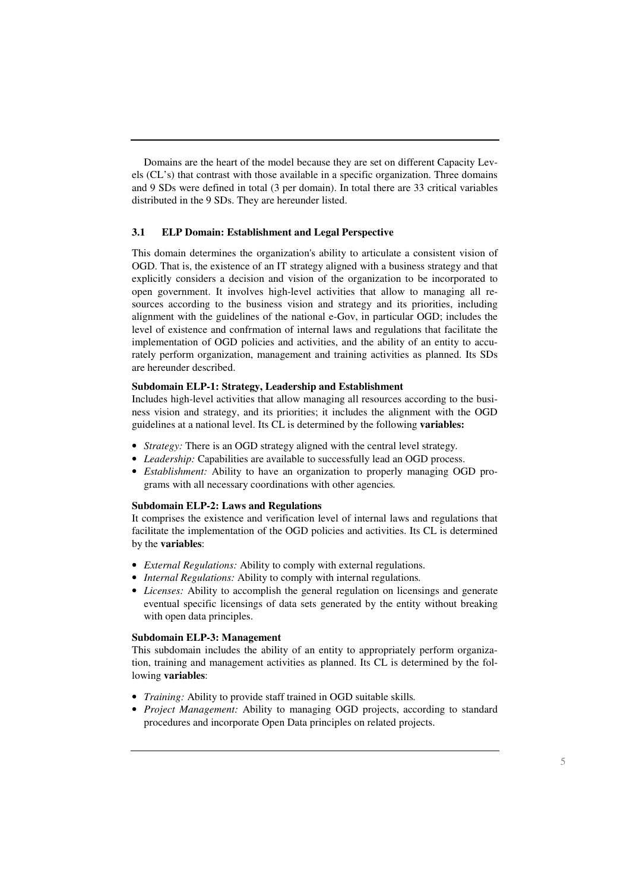Domains are the heart of the model because they are set on different Capacity Levels (CL's) that contrast with those available in a specific organization. Three domains and 9 SDs were defined in total (3 per domain). In total there are 33 critical variables distributed in the 9 SDs. They are hereunder listed.

## **3.1 ELP Domain: Establishment and Legal Perspective**

This domain determines the organization's ability to articulate a consistent vision of OGD. That is, the existence of an IT strategy aligned with a business strategy and that explicitly considers a decision and vision of the organization to be incorporated to open government. It involves high-level activities that allow to managing all resources according to the business vision and strategy and its priorities, including alignment with the guidelines of the national e-Gov, in particular OGD; includes the level of existence and confrmation of internal laws and regulations that facilitate the implementation of OGD policies and activities, and the ability of an entity to accurately perform organization, management and training activities as planned. Its SDs are hereunder described.

# **Subdomain ELP-1: Strategy, Leadership and Establishment**

Includes high-level activities that allow managing all resources according to the business vision and strategy, and its priorities; it includes the alignment with the OGD guidelines at a national level. Its CL is determined by the following **variables:**

- *Strategy:* There is an OGD strategy aligned with the central level strategy*.*
- *Leadership:* Capabilities are available to successfully lead an OGD process.
- *Establishment:* Ability to have an organization to properly managing OGD programs with all necessary coordinations with other agencies*.*

#### **Subdomain ELP-2: Laws and Regulations**

It comprises the existence and verification level of internal laws and regulations that facilitate the implementation of the OGD policies and activities. Its CL is determined by the **variables**:

- *External Regulations:* Ability to comply with external regulations.
- *Internal Regulations:* Ability to comply with internal regulations*.*
- *Licenses:* Ability to accomplish the general regulation on licensings and generate eventual specific licensings of data sets generated by the entity without breaking with open data principles.

#### **Subdomain ELP-3: Management**

This subdomain includes the ability of an entity to appropriately perform organization, training and management activities as planned. Its CL is determined by the following **variables**:

- *Training:* Ability to provide staff trained in OGD suitable skills*.*
- *Project Management:* Ability to managing OGD projects, according to standard procedures and incorporate Open Data principles on related projects.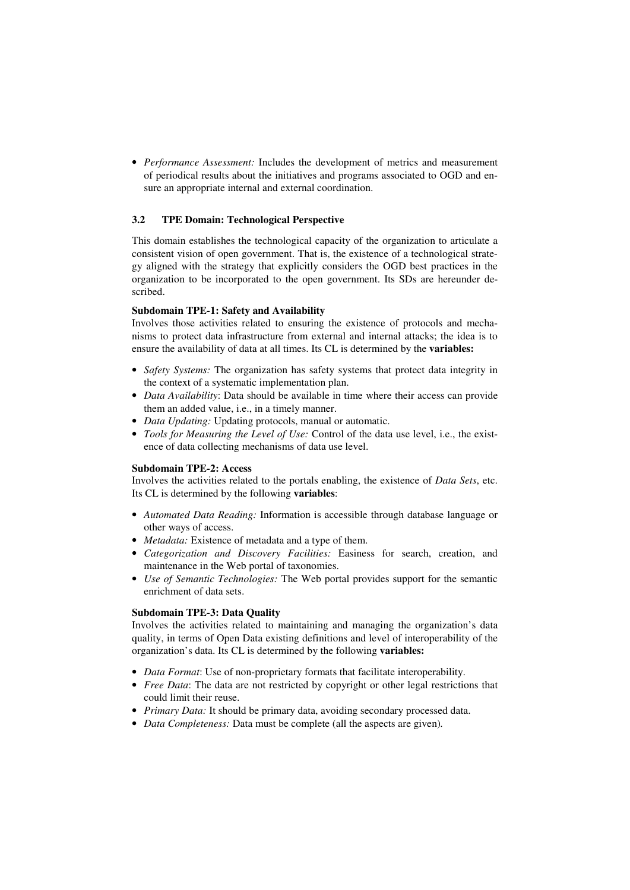• *Performance Assessment:* Includes the development of metrics and measurement of periodical results about the initiatives and programs associated to OGD and ensure an appropriate internal and external coordination.

# **3.2 TPE Domain: Technological Perspective**

This domain establishes the technological capacity of the organization to articulate a consistent vision of open government. That is, the existence of a technological strategy aligned with the strategy that explicitly considers the OGD best practices in the organization to be incorporated to the open government. Its SDs are hereunder described.

# **Subdomain TPE-1: Safety and Availability**

Involves those activities related to ensuring the existence of protocols and mechanisms to protect data infrastructure from external and internal attacks; the idea is to ensure the availability of data at all times. Its CL is determined by the **variables:**

- *Safety Systems:* The organization has safety systems that protect data integrity in the context of a systematic implementation plan.
- *Data Availability*: Data should be available in time where their access can provide them an added value, i.e., in a timely manner.
- *Data Updating:* Updating protocols, manual or automatic.
- *Tools for Measuring the Level of Use:* Control of the data use level, i.e., the existence of data collecting mechanisms of data use level.

#### **Subdomain TPE-2: Access**

Involves the activities related to the portals enabling, the existence of *Data Sets*, etc. Its CL is determined by the following **variables**:

- *Automated Data Reading:* Information is accessible through database language or other ways of access.
- *Metadata:* Existence of metadata and a type of them.
- *Categorization and Discovery Facilities:* Easiness for search, creation, and maintenance in the Web portal of taxonomies.
- *Use of Semantic Technologies:* The Web portal provides support for the semantic enrichment of data sets.

# **Subdomain TPE-3: Data Quality**

Involves the activities related to maintaining and managing the organization's data quality, in terms of Open Data existing definitions and level of interoperability of the organization's data. Its CL is determined by the following **variables:**

- *Data Format*: Use of non-proprietary formats that facilitate interoperability.
- *Free Data*: The data are not restricted by copyright or other legal restrictions that could limit their reuse.
- *Primary Data:* It should be primary data, avoiding secondary processed data.
- *Data Completeness:* Data must be complete (all the aspects are given)*.*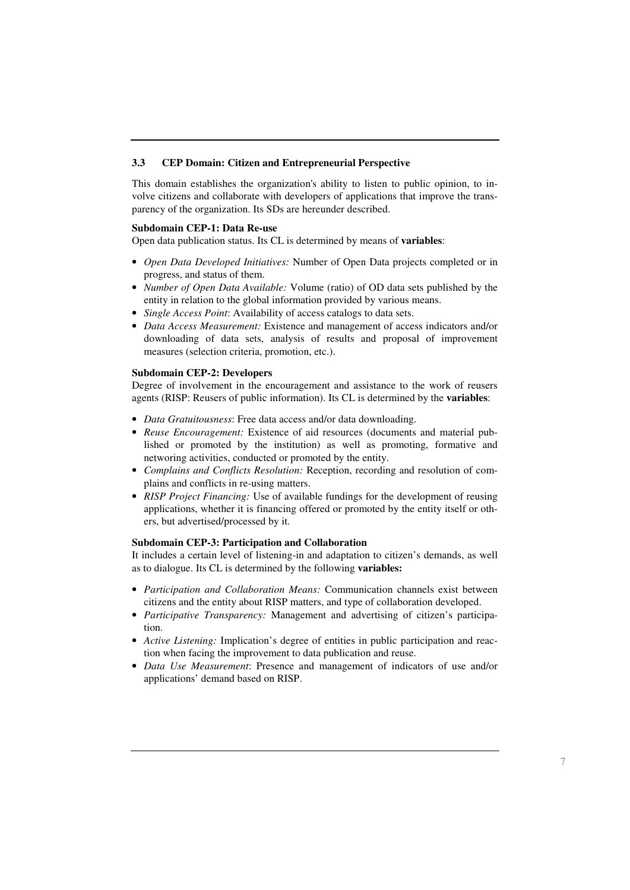# **3.3 CEP Domain: Citizen and Entrepreneurial Perspective**

This domain establishes the organization's ability to listen to public opinion, to involve citizens and collaborate with developers of applications that improve the transparency of the organization. Its SDs are hereunder described.

## **Subdomain CEP-1: Data Re-use**

Open data publication status. Its CL is determined by means of **variables**:

- *Open Data Developed Initiatives:* Number of Open Data projects completed or in progress, and status of them.
- *Number of Open Data Available:* Volume (ratio) of OD data sets published by the entity in relation to the global information provided by various means.
- *Single Access Point*: Availability of access catalogs to data sets.
- *Data Access Measurement:* Existence and management of access indicators and/or downloading of data sets, analysis of results and proposal of improvement measures (selection criteria, promotion, etc.).

## **Subdomain CEP-2: Developers**

Degree of involvement in the encouragement and assistance to the work of reusers agents (RISP: Reusers of public information). Its CL is determined by the **variables**:

- *Data Gratuitousness*: Free data access and/or data downloading.
- *Reuse Encouragement:* Existence of aid resources (documents and material published or promoted by the institution) as well as promoting, formative and networing activities, conducted or promoted by the entity.
- *Complains and Conflicts Resolution:* Reception, recording and resolution of complains and conflicts in re-using matters.
- *RISP Project Financing:* Use of available fundings for the development of reusing applications, whether it is financing offered or promoted by the entity itself or others, but advertised/processed by it.

#### **Subdomain CEP-3: Participation and Collaboration**

It includes a certain level of listening-in and adaptation to citizen's demands, as well as to dialogue. Its CL is determined by the following **variables:**

- *Participation and Collaboration Means:* Communication channels exist between citizens and the entity about RISP matters, and type of collaboration developed.
- *Participative Transparency:* Management and advertising of citizen's participation.
- *Active Listening:* Implication's degree of entities in public participation and reaction when facing the improvement to data publication and reuse.
- *Data Use Measurement*: Presence and management of indicators of use and/or applications' demand based on RISP.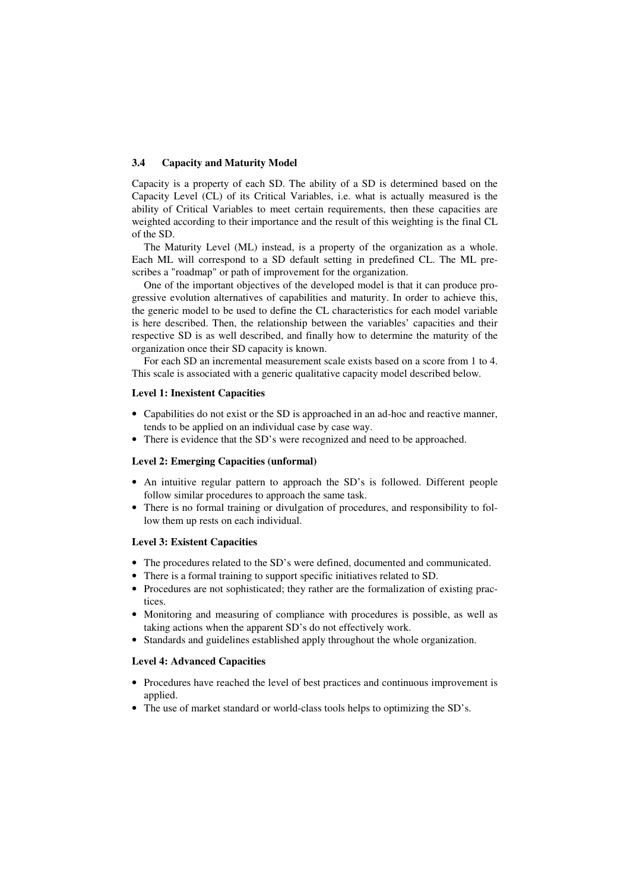#### **3.4 Capacity and Maturity Model**

Capacity is a property of each SD. The ability of a SD is determined based on the Capacity Level (CL) of its Critical Variables, i.e. what is actually measured is the ability of Critical Variables to meet certain requirements, then these capacities are weighted according to their importance and the result of this weighting is the final CL of the SD.

The Maturity Level (ML) instead, is a property of the organization as a whole. Each ML will correspond to a SD default setting in predefined CL. The ML prescribes a "roadmap" or path of improvement for the organization.

One of the important objectives of the developed model is that it can produce progressive evolution alternatives of capabilities and maturity. In order to achieve this, the generic model to be used to define the CL characteristics for each model variable is here described. Then, the relationship between the variables' capacities and their respective SD is as well described, and finally how to determine the maturity of the organization once their SD capacity is known.

For each SD an incremental measurement scale exists based on a score from 1 to 4. This scale is associated with a generic qualitative capacity model described below.

#### **Level 1: Inexistent Capacities**

- Capabilities do not exist or the SD is approached in an ad-hoc and reactive manner, tends to be applied on an individual case by case way.
- There is evidence that the SD's were recognized and need to be approached.

## **Level 2: Emerging Capacities (unformal)**

- An intuitive regular pattern to approach the SD's is followed. Different people follow similar procedures to approach the same task.
- There is no formal training or divulgation of procedures, and responsibility to follow them up rests on each individual.

#### **Level 3: Existent Capacities**

- The procedures related to the SD's were defined, documented and communicated.
- There is a formal training to support specific initiatives related to SD.
- Procedures are not sophisticated; they rather are the formalization of existing practices.
- Monitoring and measuring of compliance with procedures is possible, as well as taking actions when the apparent SD's do not effectively work.
- Standards and guidelines established apply throughout the whole organization.

## **Level 4: Advanced Capacities**

- Procedures have reached the level of best practices and continuous improvement is applied.
- The use of market standard or world-class tools helps to optimizing the SD's.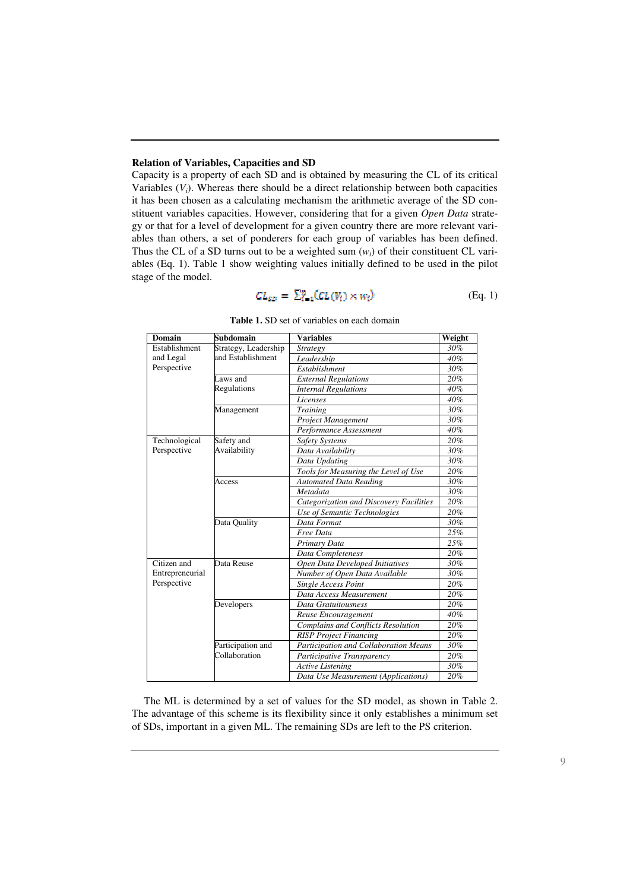#### **Relation of Variables, Capacities and SD**

Capacity is a property of each SD and is obtained by measuring the CL of its critical Variables  $(V_i)$ . Whereas there should be a direct relationship between both capacities it has been chosen as a calculating mechanism the arithmetic average of the SD constituent variables capacities. However, considering that for a given *Open Data* strategy or that for a level of development for a given country there are more relevant variables than others, a set of ponderers for each group of variables has been defined. Thus the CL of a SD turns out to be a weighted sum  $(w_i)$  of their constituent CL variables (Eq. 1). Table 1 show weighting values initially defined to be used in the pilot stage of the model.

$$
CL_{SD} = \sum_{i=1}^{n} (CL(V_i) \times w_i)
$$
 (Eq. 1)

| Domain          | Subdomain                                                                      | <b>Variables</b>                        | Weight |
|-----------------|--------------------------------------------------------------------------------|-----------------------------------------|--------|
| Establishment   | Strategy, Leadership                                                           | <i>Strategy</i>                         | 30%    |
| and Legal       | and Establishment                                                              | Leadership                              | 40%    |
| Perspective     |                                                                                | Establishment                           | 30%    |
|                 | Laws and                                                                       | <b>External Regulations</b>             | 20%    |
|                 | Regulations                                                                    | <b>Internal Regulations</b>             | 40%    |
|                 |                                                                                | Licenses                                | 40%    |
|                 | Management                                                                     | Training                                | 30%    |
|                 |                                                                                | Project Management                      | 30%    |
|                 |                                                                                | Performance Assessment                  | 40%    |
| Technological   | Safety and                                                                     | <b>Safety Systems</b>                   | 20%    |
| Perspective     | Availability                                                                   | Data Availability                       | 30%    |
|                 |                                                                                | Data Updating                           | 30%    |
|                 |                                                                                | Tools for Measuring the Level of Use    | 20%    |
|                 | Access                                                                         | <b>Automated Data Reading</b>           | 30%    |
|                 |                                                                                | Metadata                                | 30%    |
|                 |                                                                                | Categorization and Discovery Facilities | 20%    |
|                 |                                                                                | Use of Semantic Technologies            | 20%    |
|                 | Data Quality                                                                   | Data Format                             | 30%    |
|                 |                                                                                | Free Data                               | 25%    |
|                 |                                                                                | Primary Data                            | 25%    |
|                 |                                                                                | Data Completeness                       | 20%    |
| Citizen and     | Data Reuse<br>Open Data Developed Initiatives<br>Number of Open Data Available |                                         | 30%    |
| Entrepreneurial |                                                                                |                                         | 30%    |
| Perspective     |                                                                                | <b>Single Access Point</b>              | 20%    |
|                 |                                                                                | Data Access Measurement                 | 20%    |
|                 | Developers                                                                     | Data Gratuitousness                     | 20%    |
|                 |                                                                                | Reuse Encouragement                     | 40%    |
|                 |                                                                                | Complains and Conflicts Resolution      | 20%    |
|                 |                                                                                | <b>RISP Project Financing</b>           | 20%    |
|                 | Participation and                                                              | Participation and Collaboration Means   | 30%    |
|                 | Collaboration                                                                  | Participative Transparency              | 20%    |
|                 |                                                                                | <b>Active Listening</b>                 | 30%    |
|                 |                                                                                | Data Use Measurement (Applications)     | 20%    |

**Table 1.** SD set of variables on each domain

The ML is determined by a set of values for the SD model, as shown in Table 2. The advantage of this scheme is its flexibility since it only establishes a minimum set of SDs, important in a given ML. The remaining SDs are left to the PS criterion.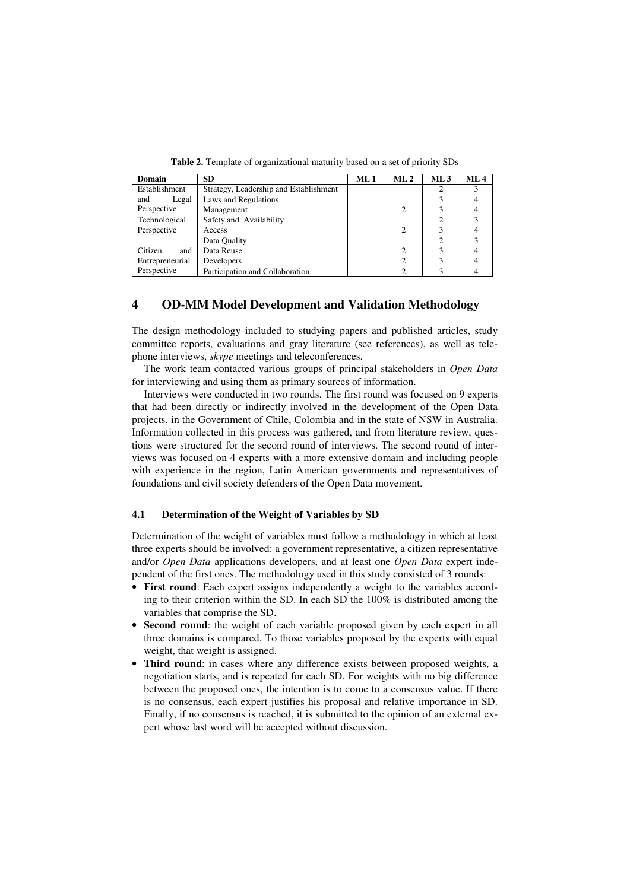| Domain          | <b>SD</b>                              | ML1 | ML <sub>2</sub> | ML <sub>3</sub> | ML4 |
|-----------------|----------------------------------------|-----|-----------------|-----------------|-----|
| Establishment   | Strategy, Leadership and Establishment |     |                 |                 |     |
| Legal<br>and    | Laws and Regulations                   |     |                 | $\mathcal{F}$   |     |
| Perspective     | Management                             |     | $\overline{c}$  | 3               |     |
| Technological   | Safety and Availability                |     |                 |                 |     |
| Perspective     | Access                                 |     | $\mathcal{L}$   | ٩               |     |
|                 | Data Quality                           |     |                 | ∍               |     |
| Citizen<br>and  | Data Reuse                             |     | ↑               | $\mathbf{3}$    |     |
| Entrepreneurial | Developers                             |     | 2               | 3               |     |
| Perspective     | Participation and Collaboration        |     | ↑               | ζ               |     |

**Table 2.** Template of organizational maturity based on a set of priority SDs

# **4 OD-MM Model Development and Validation Methodology**

The design methodology included to studying papers and published articles, study committee reports, evaluations and gray literature (see references), as well as telephone interviews, *skype* meetings and teleconferences.

The work team contacted various groups of principal stakeholders in *Open Data* for interviewing and using them as primary sources of information.

Interviews were conducted in two rounds. The first round was focused on 9 experts that had been directly or indirectly involved in the development of the Open Data projects, in the Government of Chile, Colombia and in the state of NSW in Australia. Information collected in this process was gathered, and from literature review, questions were structured for the second round of interviews. The second round of interviews was focused on 4 experts with a more extensive domain and including people with experience in the region, Latin American governments and representatives of foundations and civil society defenders of the Open Data movement.

#### **4.1 Determination of the Weight of Variables by SD**

Determination of the weight of variables must follow a methodology in which at least three experts should be involved: a government representative, a citizen representative and/or *Open Data* applications developers, and at least one *Open Data* expert independent of the first ones. The methodology used in this study consisted of 3 rounds:

- **First round**: Each expert assigns independently a weight to the variables according to their criterion within the SD. In each SD the 100% is distributed among the variables that comprise the SD.
- **Second round**: the weight of each variable proposed given by each expert in all three domains is compared. To those variables proposed by the experts with equal weight, that weight is assigned.
- **Third round**: in cases where any difference exists between proposed weights, a negotiation starts, and is repeated for each SD. For weights with no big difference between the proposed ones, the intention is to come to a consensus value. If there is no consensus, each expert justifies his proposal and relative importance in SD. Finally, if no consensus is reached, it is submitted to the opinion of an external expert whose last word will be accepted without discussion.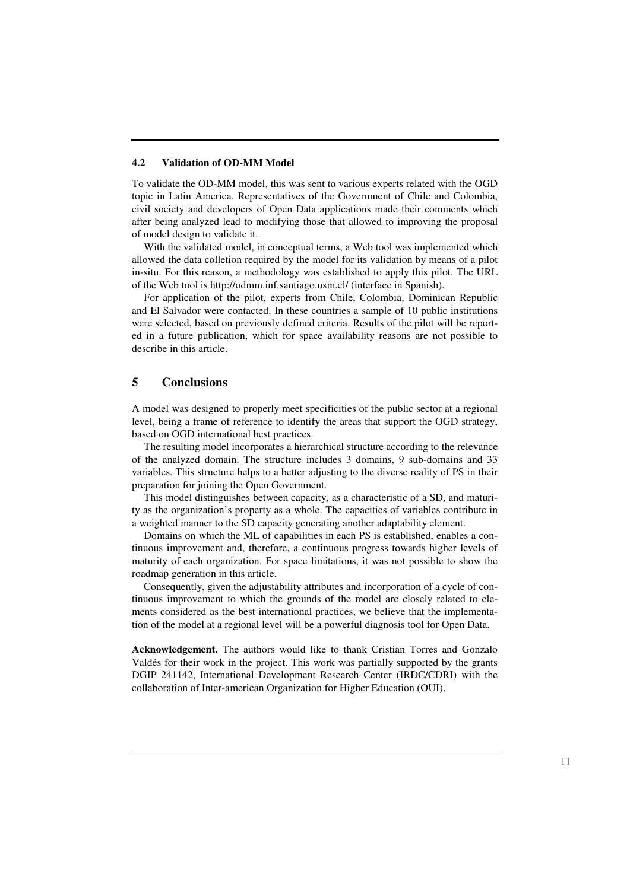#### **4.2 Validation of OD-MM Model**

To validate the OD-MM model, this was sent to various experts related with the OGD topic in Latin America. Representatives of the Government of Chile and Colombia, civil society and developers of Open Data applications made their comments which after being analyzed lead to modifying those that allowed to improving the proposal of model design to validate it.

With the validated model, in conceptual terms, a Web tool was implemented which allowed the data colletion required by the model for its validation by means of a pilot in-situ. For this reason, a methodology was established to apply this pilot. The URL of the Web tool is http://odmm.inf.santiago.usm.cl/ (interface in Spanish).

For application of the pilot, experts from Chile, Colombia, Dominican Republic and El Salvador were contacted. In these countries a sample of 10 public institutions were selected, based on previously defined criteria. Results of the pilot will be reported in a future publication, which for space availability reasons are not possible to describe in this article.

# **5 Conclusions**

A model was designed to properly meet specificities of the public sector at a regional level, being a frame of reference to identify the areas that support the OGD strategy, based on OGD international best practices.

The resulting model incorporates a hierarchical structure according to the relevance of the analyzed domain. The structure includes 3 domains, 9 sub-domains and 33 variables. This structure helps to a better adjusting to the diverse reality of PS in their preparation for joining the Open Government.

This model distinguishes between capacity, as a characteristic of a SD, and maturity as the organization's property as a whole. The capacities of variables contribute in a weighted manner to the SD capacity generating another adaptability element.

Domains on which the ML of capabilities in each PS is established, enables a continuous improvement and, therefore, a continuous progress towards higher levels of maturity of each organization. For space limitations, it was not possible to show the roadmap generation in this article.

Consequently, given the adjustability attributes and incorporation of a cycle of continuous improvement to which the grounds of the model are closely related to elements considered as the best international practices, we believe that the implementation of the model at a regional level will be a powerful diagnosis tool for Open Data.

**Acknowledgement.** The authors would like to thank Cristian Torres and Gonzalo Valdés for their work in the project. This work was partially supported by the grants DGIP 241142, International Development Research Center (IRDC/CDRI) with the collaboration of Inter-american Organization for Higher Education (OUI).